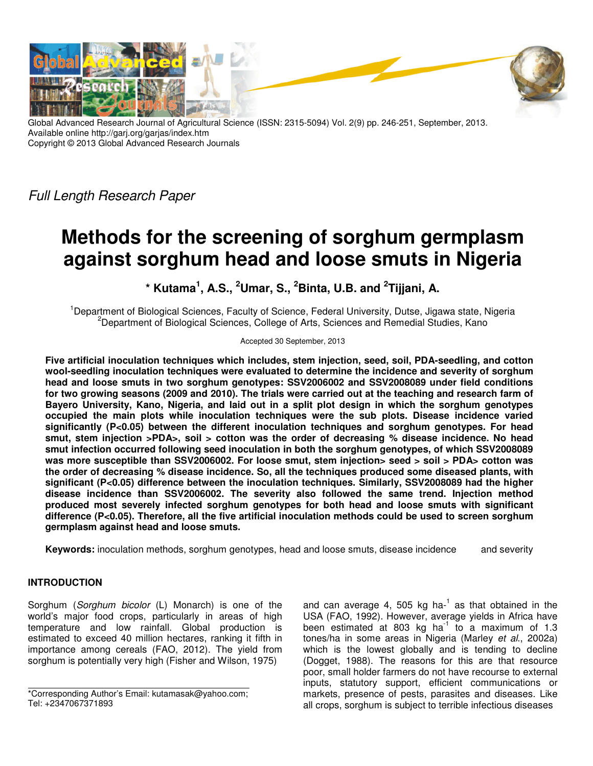

Global Advanced Research Journal of Agricultural Science (ISSN: 2315-5094) Vol. 2(9) pp. 246-251, September, 2013. Available online http://garj.org/garjas/index.htm Copyright © 2013 Global Advanced Research Journals

*Full Length Research Paper*

# **Methods for the screening of sorghum germplasm against sorghum head and loose smuts in Nigeria**

**\* Kutama<sup>1</sup> , A.S., <sup>2</sup>Umar, S., <sup>2</sup>Binta, U.B. and <sup>2</sup> Tijjani, A.** 

<sup>1</sup>Department of Biological Sciences, Faculty of Science, Federal University, Dutse, Jigawa state, Nigeria  $2$ Department of Biological Sciences, College of Arts, Sciences and Remedial Studies, Kano

Accepted 30 September, 2013

**Five artificial inoculation techniques which includes, stem injection, seed, soil, PDA-seedling, and cotton wool-seedling inoculation techniques were evaluated to determine the incidence and severity of sorghum head and loose smuts in two sorghum genotypes: SSV2006002 and SSV2008089 under field conditions for two growing seasons (2009 and 2010). The trials were carried out at the teaching and research farm of Bayero University, Kano, Nigeria, and laid out in a split plot design in which the sorghum genotypes occupied the main plots while inoculation techniques were the sub plots. Disease incidence varied significantly (P<0.05) between the different inoculation techniques and sorghum genotypes. For head smut, stem injection >PDA>, soil > cotton was the order of decreasing % disease incidence. No head smut infection occurred following seed inoculation in both the sorghum genotypes, of which SSV2008089**  was more susceptible than SSV2006002. For loose smut, stem injection> seed > soil > PDA> cotton was **the order of decreasing % disease incidence. So, all the techniques produced some diseased plants, with significant (P<0.05) difference between the inoculation techniques. Similarly, SSV2008089 had the higher disease incidence than SSV2006002. The severity also followed the same trend. Injection method produced most severely infected sorghum genotypes for both head and loose smuts with significant difference (P<0.05). Therefore, all the five artificial inoculation methods could be used to screen sorghum germplasm against head and loose smuts.** 

**Keywords:** inoculation methods, sorghum genotypes, head and loose smuts, disease incidence and severity

# **INTRODUCTION**

Sorghum (*Sorghum bicolor* (L) Monarch) is one of the world's major food crops, particularly in areas of high temperature and low rainfall. Global production is estimated to exceed 40 million hectares, ranking it fifth in importance among cereals (FAO, 2012). The yield from sorghum is potentially very high (Fisher and Wilson, 1975)

and can average 4, 505 kg ha- $1$  as that obtained in the USA (FAO, 1992). However, average yields in Africa have been estimated at 803 kg ha<sup>1</sup> to a maximum of 1.3 tones/ha in some areas in Nigeria (Marley *et al*., 2002a) which is the lowest globally and is tending to decline (Dogget, 1988). The reasons for this are that resource poor, small holder farmers do not have recourse to external inputs, statutory support, efficient communications or markets, presence of pests, parasites and diseases. Like all crops, sorghum is subject to terrible infectious diseases

<sup>\*</sup>Corresponding Author's Email: kutamasak@yahoo.com; Tel: +2347067371893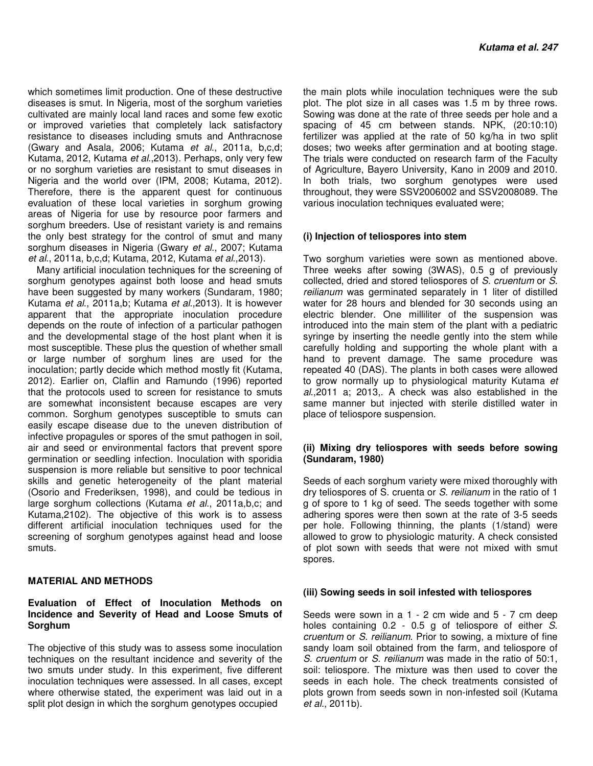which sometimes limit production. One of these destructive diseases is smut. In Nigeria, most of the sorghum varieties cultivated are mainly local land races and some few exotic or improved varieties that completely lack satisfactory resistance to diseases including smuts and Anthracnose (Gwary and Asala, 2006; Kutama *et al*., 2011a, b,c,d; Kutama, 2012, Kutama *et al*.,2013). Perhaps, only very few or no sorghum varieties are resistant to smut diseases in Nigeria and the world over (IPM, 2008; Kutama, 2012). Therefore, there is the apparent quest for continuous evaluation of these local varieties in sorghum growing areas of Nigeria for use by resource poor farmers and sorghum breeders. Use of resistant variety is and remains the only best strategy for the control of smut and many sorghum diseases in Nigeria (Gwary *et al*., 2007; Kutama *et al*., 2011a, b,c,d; Kutama, 2012, Kutama *et al*.,2013).

Many artificial inoculation techniques for the screening of sorghum genotypes against both loose and head smuts have been suggested by many workers (Sundaram, 1980; Kutama *et al*., 2011a,b; Kutama *et al*.,2013). It is however apparent that the appropriate inoculation procedure depends on the route of infection of a particular pathogen and the developmental stage of the host plant when it is most susceptible. These plus the question of whether small or large number of sorghum lines are used for the inoculation; partly decide which method mostly fit (Kutama, 2012). Earlier on, Claflin and Ramundo (1996) reported that the protocols used to screen for resistance to smuts are somewhat inconsistent because escapes are very common. Sorghum genotypes susceptible to smuts can easily escape disease due to the uneven distribution of infective propagules or spores of the smut pathogen in soil, air and seed or environmental factors that prevent spore germination or seedling infection. Inoculation with sporidia suspension is more reliable but sensitive to poor technical skills and genetic heterogeneity of the plant material (Osorio and Frederiksen, 1998), and could be tedious in large sorghum collections (Kutama *et al*., 2011a,b,c; and Kutama,2102). The objective of this work is to assess different artificial inoculation techniques used for the screening of sorghum genotypes against head and loose smuts.

## **MATERIAL AND METHODS**

## **Evaluation of Effect of Inoculation Methods on Incidence and Severity of Head and Loose Smuts of Sorghum**

The objective of this study was to assess some inoculation techniques on the resultant incidence and severity of the two smuts under study. In this experiment, five different inoculation techniques were assessed. In all cases, except where otherwise stated, the experiment was laid out in a split plot design in which the sorghum genotypes occupied

the main plots while inoculation techniques were the sub plot. The plot size in all cases was 1.5 m by three rows. Sowing was done at the rate of three seeds per hole and a spacing of 45 cm between stands. NPK, (20:10:10) fertilizer was applied at the rate of 50 kg/ha in two split doses; two weeks after germination and at booting stage. The trials were conducted on research farm of the Faculty of Agriculture, Bayero University, Kano in 2009 and 2010. In both trials, two sorghum genotypes were used throughout, they were SSV2006002 and SSV2008089. The various inoculation techniques evaluated were;

## **(i) Injection of teliospores into stem**

Two sorghum varieties were sown as mentioned above. Three weeks after sowing (3WAS), 0.5 g of previously collected, dried and stored teliospores of *S. cruentum* or *S. reilianum* was germinated separately in 1 liter of distilled water for 28 hours and blended for 30 seconds using an electric blender. One milliliter of the suspension was introduced into the main stem of the plant with a pediatric syringe by inserting the needle gently into the stem while carefully holding and supporting the whole plant with a hand to prevent damage. The same procedure was repeated 40 (DAS). The plants in both cases were allowed to grow normally up to physiological maturity Kutama *et al*.,2011 a; 2013,. A check was also established in the same manner but injected with sterile distilled water in place of teliospore suspension.

#### **(ii) Mixing dry teliospores with seeds before sowing (Sundaram, 1980)**

Seeds of each sorghum variety were mixed thoroughly with dry teliospores of S. cruenta or *S. reilianum* in the ratio of 1 g of spore to 1 kg of seed. The seeds together with some adhering spores were then sown at the rate of 3-5 seeds per hole. Following thinning, the plants (1/stand) were allowed to grow to physiologic maturity. A check consisted of plot sown with seeds that were not mixed with smut spores.

#### **(iii) Sowing seeds in soil infested with teliospores**

Seeds were sown in a 1 - 2 cm wide and 5 - 7 cm deep holes containing 0.2 - 0.5 g of teliospore of either *S*. *cruentum* or *S. reilianum*. Prior to sowing, a mixture of fine sandy loam soil obtained from the farm, and teliospore of *S. cruentum* or *S. reilianum* was made in the ratio of 50:1, soil: teliospore. The mixture was then used to cover the seeds in each hole. The check treatments consisted of plots grown from seeds sown in non-infested soil (Kutama *et al.*, 2011b).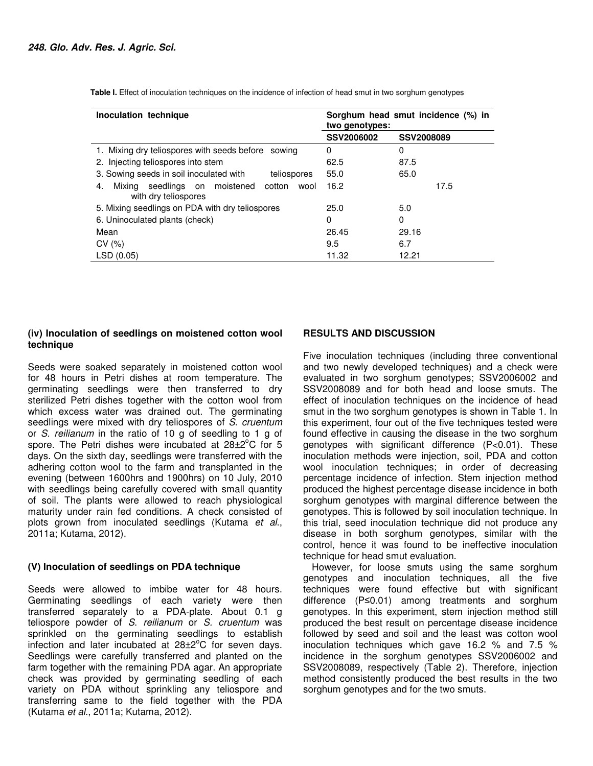| Inoculation technique                                                            | Sorghum head smut incidence (%) in<br>two genotypes: |            |
|----------------------------------------------------------------------------------|------------------------------------------------------|------------|
|                                                                                  | SSV2006002                                           | SSV2008089 |
| 1. Mixing dry teliospores with seeds before sowing                               | 0                                                    | 0          |
| 2. Injecting teliospores into stem                                               | 62.5                                                 | 87.5       |
| 3. Sowing seeds in soil inoculated with<br>teliospores                           | 55.0                                                 | 65.0       |
| seedlings on moistened<br>Mixina<br>cotton<br>wool<br>4.<br>with dry teliospores | 16.2                                                 | 17.5       |
| 5. Mixing seedlings on PDA with dry teliospores                                  | 25.0                                                 | 5.0        |
| 6. Uninoculated plants (check)                                                   | 0                                                    | 0          |
| Mean                                                                             | 26.45                                                | 29.16      |
| CV(%)                                                                            | 9.5                                                  | 6.7        |
| LSD (0.05)                                                                       | 11.32                                                | 12.21      |

**Table I.** Effect of inoculation techniques on the incidence of infection of head smut in two sorghum genotypes

# **(iv) Inoculation of seedlings on moistened cotton wool technique**

Seeds were soaked separately in moistened cotton wool for 48 hours in Petri dishes at room temperature. The germinating seedlings were then transferred to dry sterilized Petri dishes together with the cotton wool from which excess water was drained out. The germinating seedlings were mixed with dry teliospores of *S*. *cruentum* or *S. reilianum* in the ratio of 10 g of seedling to 1 g of spore. The Petri dishes were incubated at  $28\pm2^{\circ}$ C for 5 days. On the sixth day, seedlings were transferred with the adhering cotton wool to the farm and transplanted in the evening (between 1600hrs and 1900hrs) on 10 July, 2010 with seedlings being carefully covered with small quantity of soil. The plants were allowed to reach physiological maturity under rain fed conditions. A check consisted of plots grown from inoculated seedlings (Kutama *et al*., 2011a; Kutama, 2012).

## **(V) Inoculation of seedlings on PDA technique**

Seeds were allowed to imbibe water for 48 hours. Germinating seedlings of each variety were then transferred separately to a PDA-plate. About 0.1 g teliospore powder of *S*. *reilianum* or *S. cruentum* was sprinkled on the germinating seedlings to establish infection and later incubated at  $28\pm2^{\circ}$ C for seven days. Seedlings were carefully transferred and planted on the farm together with the remaining PDA agar. An appropriate check was provided by germinating seedling of each variety on PDA without sprinkling any teliospore and transferring same to the field together with the PDA (Kutama *et al*., 2011a; Kutama, 2012).

#### **RESULTS AND DISCUSSION**

Five inoculation techniques (including three conventional and two newly developed techniques) and a check were evaluated in two sorghum genotypes; SSV2006002 and SSV2008089 and for both head and loose smuts. The effect of inoculation techniques on the incidence of head smut in the two sorghum genotypes is shown in Table 1. In this experiment, four out of the five techniques tested were found effective in causing the disease in the two sorghum genotypes with significant difference (P<0.01). These inoculation methods were injection, soil, PDA and cotton wool inoculation techniques; in order of decreasing percentage incidence of infection. Stem injection method produced the highest percentage disease incidence in both sorghum genotypes with marginal difference between the genotypes. This is followed by soil inoculation technique. In this trial, seed inoculation technique did not produce any disease in both sorghum genotypes, similar with the control, hence it was found to be ineffective inoculation technique for head smut evaluation.

However, for loose smuts using the same sorghum genotypes and inoculation techniques, all the five techniques were found effective but with significant difference (P≤0.01) among treatments and sorghum genotypes. In this experiment, stem injection method still produced the best result on percentage disease incidence followed by seed and soil and the least was cotton wool inoculation techniques which gave 16.2 % and 7.5 % incidence in the sorghum genotypes SSV2006002 and SSV2008089, respectively (Table 2). Therefore, injection method consistently produced the best results in the two sorghum genotypes and for the two smuts.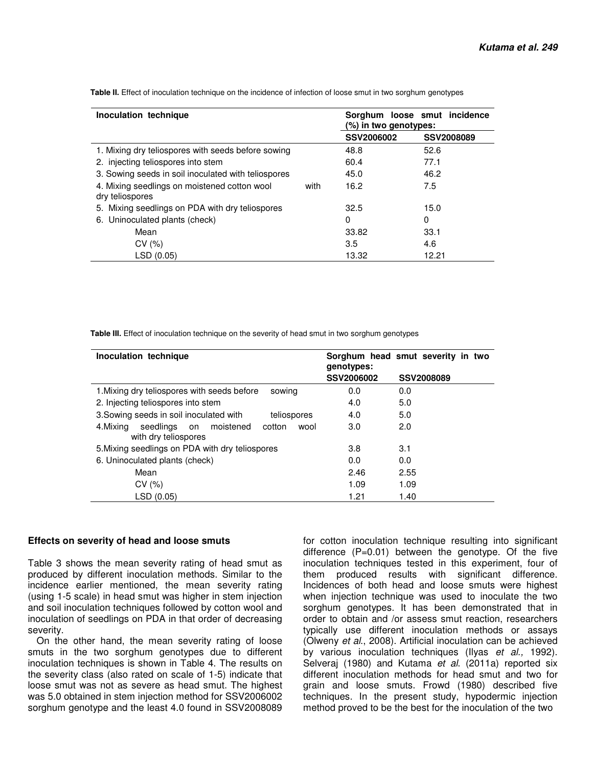| Inoculation technique                                           |      | Sorghum loose smut incidence<br>$(\%)$ in two genotypes: |            |  |
|-----------------------------------------------------------------|------|----------------------------------------------------------|------------|--|
|                                                                 |      | SSV2006002                                               | SSV2008089 |  |
| 1. Mixing dry teliospores with seeds before sowing              |      | 48.8                                                     | 52.6       |  |
| 2. injecting teliospores into stem                              |      | 60.4                                                     | 77.1       |  |
| 3. Sowing seeds in soil inoculated with teliospores             |      | 45.0                                                     | 46.2       |  |
| 4. Mixing seedlings on moistened cotton wool<br>dry teliospores | with | 16.2                                                     | 7.5        |  |
| 5. Mixing seedlings on PDA with dry teliospores                 |      | 32.5                                                     | 15.0       |  |
| 6. Uninoculated plants (check)                                  |      | 0                                                        | 0          |  |
| Mean                                                            |      | 33.82                                                    | 33.1       |  |
| CV(%)                                                           |      | 3.5                                                      | 4.6        |  |
| LSD (0.05)                                                      |      | 13.32                                                    | 12.21      |  |

**Table II.** Effect of inoculation technique on the incidence of infection of loose smut in two sorghum genotypes

 **Table III.** Effect of inoculation technique on the severity of head smut in two sorghum genotypes

| Inoculation technique                                                              | genotypes: | Sorghum head smut severity in two |
|------------------------------------------------------------------------------------|------------|-----------------------------------|
|                                                                                    | SSV2006002 | SSV2008089                        |
| 1. Mixing dry teliospores with seeds before<br>sowing                              | 0.0        | 0.0                               |
| 2. Injecting teliospores into stem                                                 | 4.0        | 5.0                               |
| 3. Sowing seeds in soil inoculated with<br>teliospores                             | 4.0        | 5.0                               |
| seedlings<br>moistened<br>4.Mixing<br>cotton<br>wool<br>on<br>with dry teliospores | 3.0        | 2.0                               |
| 5. Mixing seedlings on PDA with dry teliospores                                    | 3.8        | 3.1                               |
| 6. Uninoculated plants (check)                                                     | 0.0        | 0.0                               |
| Mean                                                                               | 2.46       | 2.55                              |
| CV(%)                                                                              | 1.09       | 1.09                              |
| LSD (0.05)                                                                         | 1.21       | 1.40                              |

#### **Effects on severity of head and loose smuts**

Table 3 shows the mean severity rating of head smut as produced by different inoculation methods. Similar to the incidence earlier mentioned, the mean severity rating (using 1-5 scale) in head smut was higher in stem injection and soil inoculation techniques followed by cotton wool and inoculation of seedlings on PDA in that order of decreasing severity.

On the other hand, the mean severity rating of loose smuts in the two sorghum genotypes due to different inoculation techniques is shown in Table 4. The results on the severity class (also rated on scale of 1-5) indicate that loose smut was not as severe as head smut. The highest was 5.0 obtained in stem injection method for SSV2006002 sorghum genotype and the least 4.0 found in SSV2008089

for cotton inoculation technique resulting into significant difference (P=0.01) between the genotype. Of the five inoculation techniques tested in this experiment, four of them produced results with significant difference. Incidences of both head and loose smuts were highest when injection technique was used to inoculate the two sorghum genotypes. It has been demonstrated that in order to obtain and /or assess smut reaction, researchers typically use different inoculation methods or assays (Olweny *et al*., 2008). Artificial inoculation can be achieved by various inoculation techniques (Ilyas *et al.,* 1992). Selveraj (1980) and Kutama *et al*. (2011a) reported six different inoculation methods for head smut and two for grain and loose smuts. Frowd (1980) described five techniques. In the present study, hypodermic injection method proved to be the best for the inoculation of the two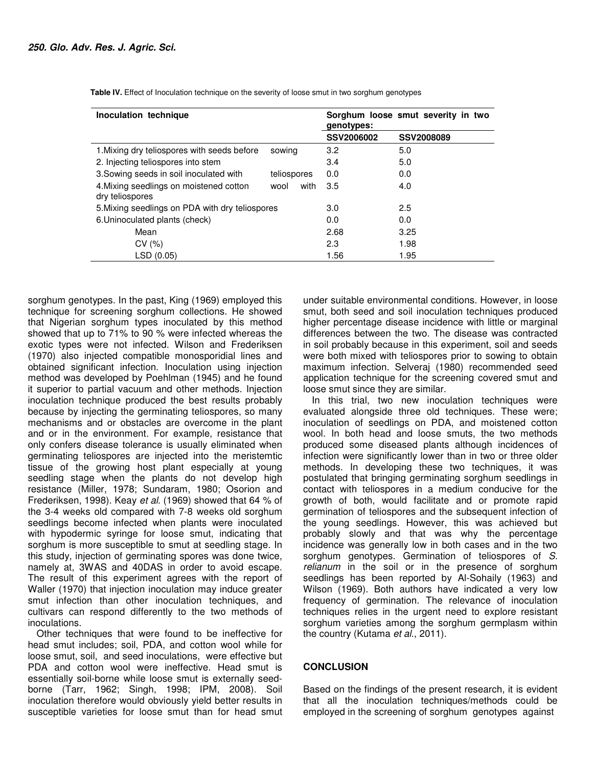| Inoculation technique                                      |              | Sorghum loose smut severity in two<br>genotypes: |            |
|------------------------------------------------------------|--------------|--------------------------------------------------|------------|
|                                                            |              | SSV2006002                                       | SSV2008089 |
| 1. Mixing dry teliospores with seeds before                | sowing       | 3.2                                              | 5.0        |
| 2. Injecting teliospores into stem                         |              | 3.4                                              | 5.0        |
| 3. Sowing seeds in soil inoculated with                    | teliospores  | 0.0                                              | 0.0        |
| 4. Mixing seedlings on moistened cotton<br>dry teliospores | with<br>wool | 3.5                                              | 4.0        |
| 5. Mixing seedlings on PDA with dry teliospores            |              | 3.0                                              | 2.5        |
| 6. Uninoculated plants (check)                             |              | 0.0                                              | 0.0        |
| Mean                                                       |              | 2.68                                             | 3.25       |
| CV(%)                                                      |              | 2.3                                              | 1.98       |
| LSD(0.05)                                                  |              | 1.56                                             | 1.95       |

 **Table IV.** Effect of Inoculation technique on the severity of loose smut in two sorghum genotypes

sorghum genotypes. In the past, King (1969) employed this technique for screening sorghum collections. He showed that Nigerian sorghum types inoculated by this method showed that up to 71% to 90 % were infected whereas the exotic types were not infected. Wilson and Frederiksen (1970) also injected compatible monosporidial lines and obtained significant infection. Inoculation using injection method was developed by Poehlman (1945) and he found it superior to partial vacuum and other methods. Injection inoculation technique produced the best results probably because by injecting the germinating teliospores, so many mechanisms and or obstacles are overcome in the plant and or in the environment. For example, resistance that only confers disease tolerance is usually eliminated when germinating teliospores are injected into the meristemtic tissue of the growing host plant especially at young seedling stage when the plants do not develop high resistance (Miller, 1978; Sundaram, 1980; Osorion and Frederiksen, 1998). Keay *et al*. (1969) showed that 64 % of the 3-4 weeks old compared with 7-8 weeks old sorghum seedlings become infected when plants were inoculated with hypodermic syringe for loose smut, indicating that sorghum is more susceptible to smut at seedling stage. In this study, injection of germinating spores was done twice, namely at, 3WAS and 40DAS in order to avoid escape. The result of this experiment agrees with the report of Waller (1970) that injection inoculation may induce greater smut infection than other inoculation techniques, and cultivars can respond differently to the two methods of inoculations.

Other techniques that were found to be ineffective for head smut includes; soil, PDA, and cotton wool while for loose smut, soil, and seed inoculations, were effective but PDA and cotton wool were ineffective. Head smut is essentially soil-borne while loose smut is externally seedborne (Tarr, 1962; Singh, 1998; IPM, 2008). Soil inoculation therefore would obviously yield better results in susceptible varieties for loose smut than for head smut

under suitable environmental conditions. However, in loose smut, both seed and soil inoculation techniques produced higher percentage disease incidence with little or marginal differences between the two. The disease was contracted in soil probably because in this experiment, soil and seeds were both mixed with teliospores prior to sowing to obtain maximum infection. Selveraj (1980) recommended seed application technique for the screening covered smut and loose smut since they are similar.

In this trial, two new inoculation techniques were evaluated alongside three old techniques. These were; inoculation of seedlings on PDA, and moistened cotton wool. In both head and loose smuts, the two methods produced some diseased plants although incidences of infection were significantly lower than in two or three older methods. In developing these two techniques, it was postulated that bringing germinating sorghum seedlings in contact with teliospores in a medium conducive for the growth of both, would facilitate and or promote rapid germination of teliospores and the subsequent infection of the young seedlings. However, this was achieved but probably slowly and that was why the percentage incidence was generally low in both cases and in the two sorghum genotypes. Germination of teliospores of *S. relianum* in the soil or in the presence of sorghum seedlings has been reported by Al-Sohaily (1963) and Wilson (1969). Both authors have indicated a very low frequency of germination. The relevance of inoculation techniques relies in the urgent need to explore resistant sorghum varieties among the sorghum germplasm within the country (Kutama *et al*., 2011).

## **CONCLUSION**

Based on the findings of the present research, it is evident that all the inoculation techniques/methods could be employed in the screening of sorghum genotypes against